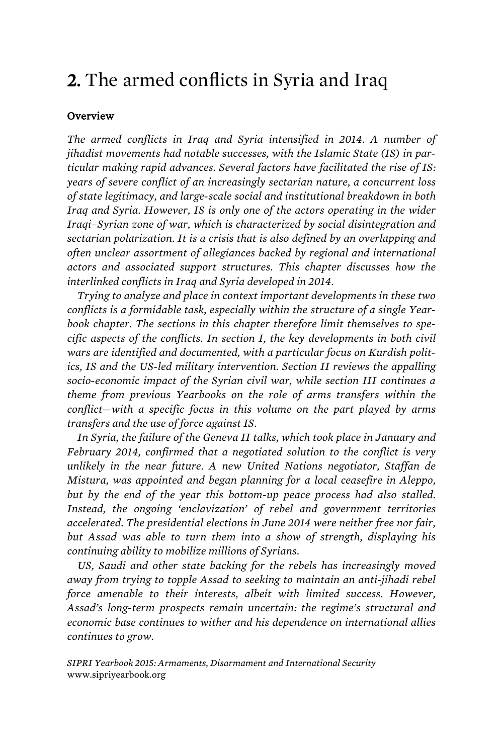## 2. The armed conflicts in Syria and Iraq

## **Overview**

*The armed conflicts in Iraq and Syria intensified in 2014. A number of jihadist movements had notable successes, with the Islamic State (IS) in particular making rapid advances. Several factors have facilitated the rise of IS: years of severe conflict of an increasingly sectarian nature, a concurrent loss of state legitimacy, and large-scale social and institutional breakdown in both Iraq and Syria. However, IS is only one of the actors operating in the wider Iraqi–Syrian zone of war, which is characterized by social disintegration and sectarian polarization. It is a crisis that is also defined by an overlapping and often unclear assortment of allegiances backed by regional and international actors and associated support structures. This chapter discusses how the interlinked conflicts in Iraq and Syria developed in 2014.* 

*Trying to analyze and place in context important developments in these two conflicts is a formidable task, especially within the structure of a single Yearbook chapter. The sections in this chapter therefore limit themselves to specific aspects of the conflicts. In section I, the key developments in both civil wars are identified and documented, with a particular focus on Kurdish politics, IS and the US-led military intervention. Section II reviews the appalling socio-economic impact of the Syrian civil war, while section III continues a theme from previous Yearbooks on the role of arms transfers within the conflict—with a specific focus in this volume on the part played by arms transfers and the use of force against IS.* 

*In Syria, the failure of the Geneva II talks, which took place in January and February 2014, confirmed that a negotiated solution to the conflict is very unlikely in the near future. A new United Nations negotiator, Staffan de Mistura, was appointed and began planning for a local ceasefire in Aleppo, but by the end of the year this bottom-up peace process had also stalled. Instead, the ongoing 'enclavization' of rebel and government territories accelerated. The presidential elections in June 2014 were neither free nor fair, but Assad was able to turn them into a show of strength, displaying his continuing ability to mobilize millions of Syrians.* 

*US, Saudi and other state backing for the rebels has increasingly moved away from trying to topple Assad to seeking to maintain an anti-jihadi rebel force amenable to their interests, albeit with limited success. However, Assad's long-term prospects remain uncertain: the regime's structural and economic base continues to wither and his dependence on international allies continues to grow.* 

*SIPRI Yearbook 2015: Armaments, Disarmament and International Security* www.sipriyearbook.org